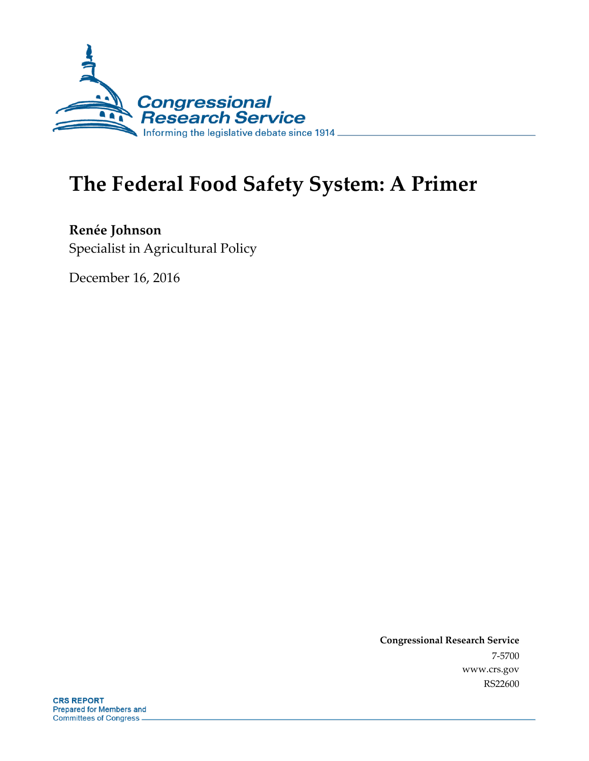

# **The Federal Food Safety System: A Primer**

**Renée Johnson** Specialist in Agricultural Policy

December 16, 2016

**Congressional Research Service** 7-5700 www.crs.gov RS22600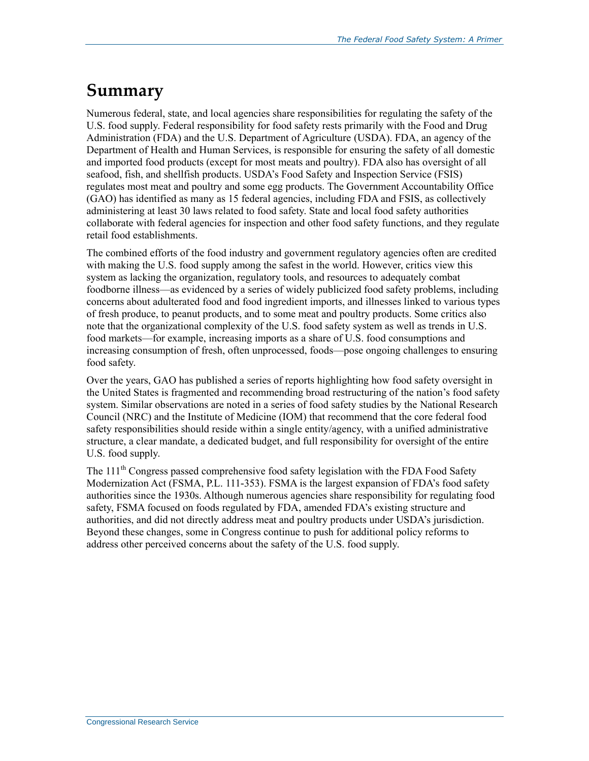## **Summary**

Numerous federal, state, and local agencies share responsibilities for regulating the safety of the U.S. food supply. Federal responsibility for food safety rests primarily with the Food and Drug Administration (FDA) and the U.S. Department of Agriculture (USDA). FDA, an agency of the Department of Health and Human Services, is responsible for ensuring the safety of all domestic and imported food products (except for most meats and poultry). FDA also has oversight of all seafood, fish, and shellfish products. USDA's Food Safety and Inspection Service (FSIS) regulates most meat and poultry and some egg products. The Government Accountability Office (GAO) has identified as many as 15 federal agencies, including FDA and FSIS, as collectively administering at least 30 laws related to food safety. State and local food safety authorities collaborate with federal agencies for inspection and other food safety functions, and they regulate retail food establishments.

The combined efforts of the food industry and government regulatory agencies often are credited with making the U.S. food supply among the safest in the world. However, critics view this system as lacking the organization, regulatory tools, and resources to adequately combat foodborne illness—as evidenced by a series of widely publicized food safety problems, including concerns about adulterated food and food ingredient imports, and illnesses linked to various types of fresh produce, to peanut products, and to some meat and poultry products. Some critics also note that the organizational complexity of the U.S. food safety system as well as trends in U.S. food markets—for example, increasing imports as a share of U.S. food consumptions and increasing consumption of fresh, often unprocessed, foods—pose ongoing challenges to ensuring food safety.

Over the years, GAO has published a series of reports highlighting how food safety oversight in the United States is fragmented and recommending broad restructuring of the nation's food safety system. Similar observations are noted in a series of food safety studies by the National Research Council (NRC) and the Institute of Medicine (IOM) that recommend that the core federal food safety responsibilities should reside within a single entity/agency, with a unified administrative structure, a clear mandate, a dedicated budget, and full responsibility for oversight of the entire U.S. food supply.

The 111<sup>th</sup> Congress passed comprehensive food safety legislation with the FDA Food Safety Modernization Act (FSMA, P.L. 111-353). FSMA is the largest expansion of FDA's food safety authorities since the 1930s. Although numerous agencies share responsibility for regulating food safety, FSMA focused on foods regulated by FDA, amended FDA's existing structure and authorities, and did not directly address meat and poultry products under USDA's jurisdiction. Beyond these changes, some in Congress continue to push for additional policy reforms to address other perceived concerns about the safety of the U.S. food supply.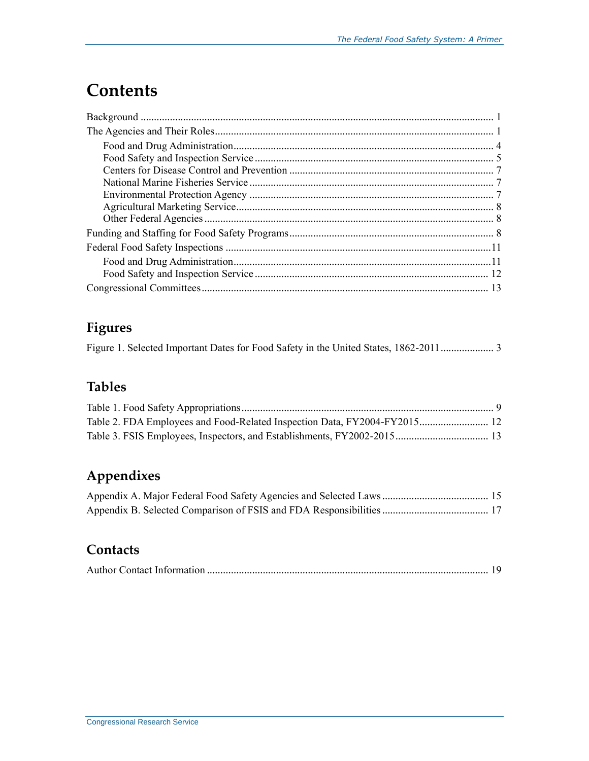# **Contents**

### **Figures**

Figure 1. Selected Important Dates for Food Safety in the United States, 1862-2011.................... 3

### **Tables**

## **Appendixes**

### **Contacts**

|--|--|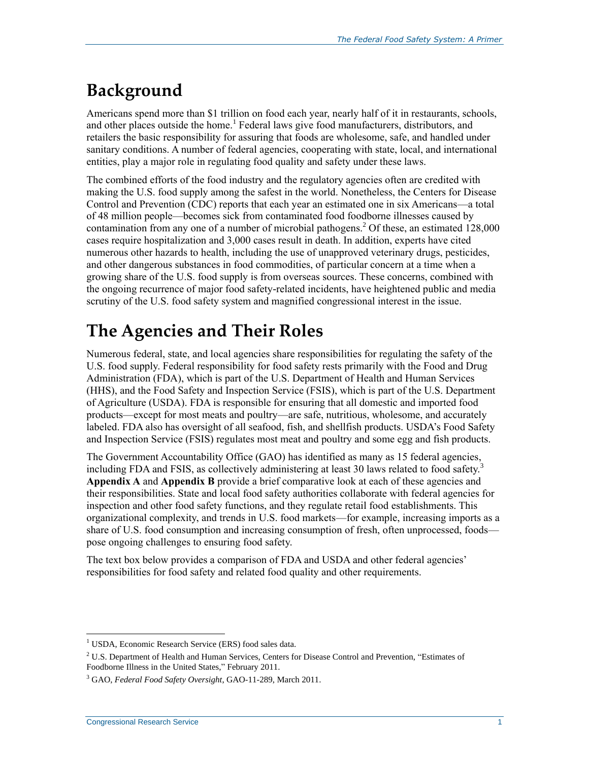# **Background**

Americans spend more than \$1 trillion on food each year, nearly half of it in restaurants, schools, and other places outside the home.<sup>1</sup> Federal laws give food manufacturers, distributors, and retailers the basic responsibility for assuring that foods are wholesome, safe, and handled under sanitary conditions. A number of federal agencies, cooperating with state, local, and international entities, play a major role in regulating food quality and safety under these laws.

The combined efforts of the food industry and the regulatory agencies often are credited with making the U.S. food supply among the safest in the world. Nonetheless, the Centers for Disease Control and Prevention (CDC) reports that each year an estimated one in six Americans—a total of 48 million people—becomes sick from contaminated food foodborne illnesses caused by contamination from any one of a number of microbial pathogens.<sup>2</sup> Of these, an estimated  $128,000$ cases require hospitalization and 3,000 cases result in death. In addition, experts have cited numerous other hazards to health, including the use of unapproved veterinary drugs, pesticides, and other dangerous substances in food commodities, of particular concern at a time when a growing share of the U.S. food supply is from overseas sources. These concerns, combined with the ongoing recurrence of major food safety-related incidents, have heightened public and media scrutiny of the U.S. food safety system and magnified congressional interest in the issue.

# **The Agencies and Their Roles**

Numerous federal, state, and local agencies share responsibilities for regulating the safety of the U.S. food supply. Federal responsibility for food safety rests primarily with the Food and Drug Administration (FDA), which is part of the U.S. Department of Health and Human Services (HHS), and the Food Safety and Inspection Service (FSIS), which is part of the U.S. Department of Agriculture (USDA). FDA is responsible for ensuring that all domestic and imported food products—except for most meats and poultry—are safe, nutritious, wholesome, and accurately labeled. FDA also has oversight of all seafood, fish, and shellfish products. USDA's Food Safety and Inspection Service (FSIS) regulates most meat and poultry and some egg and fish products.

The Government Accountability Office (GAO) has identified as many as 15 federal agencies, including FDA and FSIS, as collectively administering at least 30 laws related to food safety.<sup>3</sup> **[Appendix A](#page-17-0)** and **[Appendix B](#page-19-0)** provide a brief comparative look at each of these agencies and their responsibilities. State and local food safety authorities collaborate with federal agencies for inspection and other food safety functions, and they regulate retail food establishments. This organizational complexity, and trends in U.S. food markets—for example, increasing imports as a share of U.S. food consumption and increasing consumption of fresh, often unprocessed, foods pose ongoing challenges to ensuring food safety.

The text box below provides a comparison of FDA and USDA and other federal agencies' responsibilities for food safety and related food quality and other requirements.

 $\overline{a}$ <sup>1</sup> USDA, Economic Research Service (ERS) food sales data.

<sup>&</sup>lt;sup>2</sup> U.S. Department of Health and Human Services, Centers for Disease Control and Prevention, "Estimates of Foodborne Illness in the United States," February 2011.

<sup>3</sup> GAO, *Federal Food Safety Oversight*, GAO-11-289, March 2011.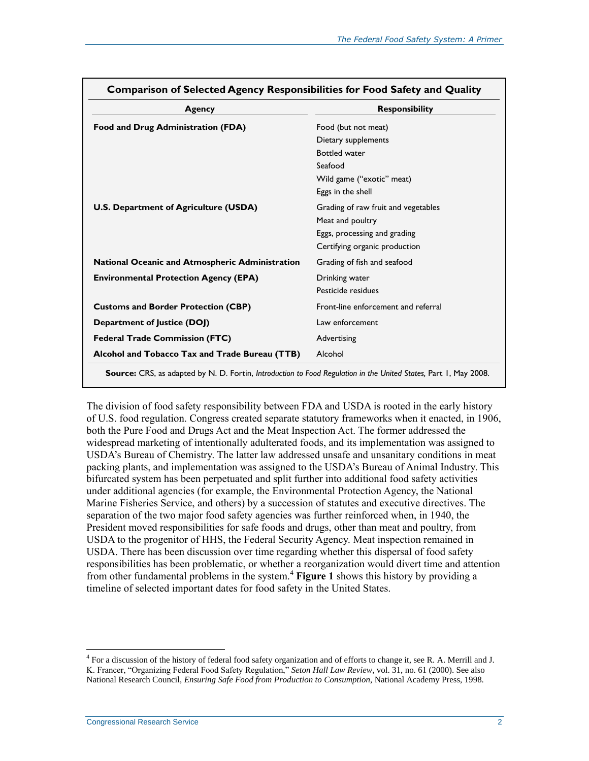| Agency                                          | <b>Responsibility</b>               |
|-------------------------------------------------|-------------------------------------|
| Food and Drug Administration (FDA)              | Food (but not meat)                 |
|                                                 | Dietary supplements                 |
|                                                 | <b>Bottled water</b>                |
|                                                 | Seafood                             |
|                                                 | Wild game ("exotic" meat)           |
|                                                 | Eggs in the shell                   |
| <b>U.S. Department of Agriculture (USDA)</b>    | Grading of raw fruit and vegetables |
|                                                 | Meat and poultry                    |
|                                                 | Eggs, processing and grading        |
|                                                 | Certifying organic production       |
| National Oceanic and Atmospheric Administration | Grading of fish and seafood         |
| <b>Environmental Protection Agency (EPA)</b>    | Drinking water                      |
|                                                 | Pesticide residues                  |
| <b>Customs and Border Protection (CBP)</b>      | Front-line enforcement and referral |
| Department of Justice (DOJ)                     | Law enforcement                     |
| <b>Federal Trade Commission (FTC)</b>           | Advertising                         |
| Alcohol and Tobacco Tax and Trade Bureau (TTB)  | Alcohol                             |

**Comparison of Selected Agency Responsibilities for Food Safety and Quality**

<span id="page-4-0"></span>The division of food safety responsibility between FDA and USDA is rooted in the early history of U.S. food regulation. Congress created separate statutory frameworks when it enacted, in 1906, both the Pure Food and Drugs Act and the Meat Inspection Act. The former addressed the widespread marketing of intentionally adulterated foods, and its implementation was assigned to USDA's Bureau of Chemistry. The latter law addressed unsafe and unsanitary conditions in meat packing plants, and implementation was assigned to the USDA's Bureau of Animal Industry. This bifurcated system has been perpetuated and split further into additional food safety activities under additional agencies (for example, the Environmental Protection Agency, the National Marine Fisheries Service, and others) by a succession of statutes and executive directives. The separation of the two major food safety agencies was further reinforced when, in 1940, the President moved responsibilities for safe foods and drugs, other than meat and poultry, from USDA to the progenitor of HHS, the Federal Security Agency. Meat inspection remained in USDA. There has been discussion over time regarding whether this dispersal of food safety responsibilities has been problematic, or whether a reorganization would divert time and attention from other fundamental problems in the system.<sup>4</sup> **[Figure 1](#page-5-0)** shows this history by providing a timeline of selected important dates for food safety in the United States.

<sup>&</sup>lt;sup>4</sup> For a discussion of the history of federal food safety organization and of efforts to change it, see R. A. Merrill and J. K. Francer, "Organizing Federal Food Safety Regulation," *Seton Hall Law Review*, vol. 31, no. 61 (2000). See also National Research Council, *Ensuring Safe Food from Production to Consumption*, National Academy Press, 1998.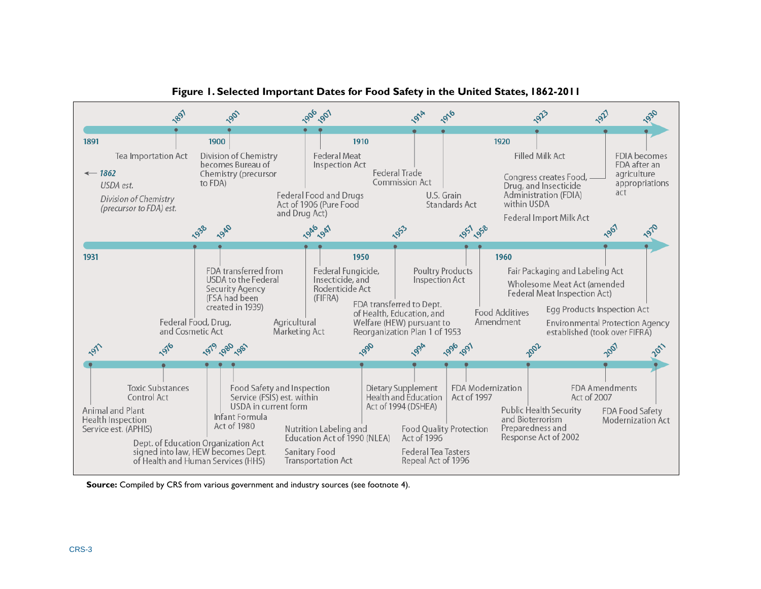<span id="page-5-0"></span>

**Figure 1. Selected Important Dates for Food Safety in the United States, 1862-2011**

**Source:** Compiled by CRS from various government and industry sources (see footnote [4\)](#page-4-0).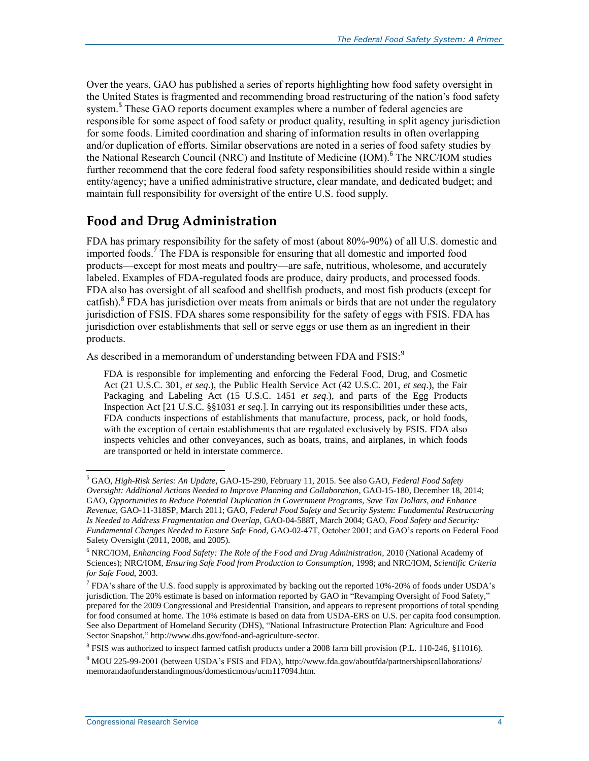<span id="page-6-1"></span>Over the years, GAO has published a series of reports highlighting how food safety oversight in the United States is fragmented and recommending broad restructuring of the nation's food safety system.**<sup>5</sup>** These GAO reports document examples where a number of federal agencies are responsible for some aspect of food safety or product quality, resulting in split agency jurisdiction for some foods. Limited coordination and sharing of information results in often overlapping and/or duplication of efforts. Similar observations are noted in a series of food safety studies by the National Research Council (NRC) and Institute of Medicine (IOM).<sup>6</sup> The NRC/IOM studies further recommend that the core federal food safety responsibilities should reside within a single entity/agency; have a unified administrative structure, clear mandate, and dedicated budget; and maintain full responsibility for oversight of the entire U.S. food supply.

### **Food and Drug Administration**

<span id="page-6-0"></span>FDA has primary responsibility for the safety of most (about 80%-90%) of all U.S. domestic and imported foods. <sup>7</sup> The FDA is responsible for ensuring that all domestic and imported food products—except for most meats and poultry—are safe, nutritious, wholesome, and accurately labeled. Examples of FDA-regulated foods are produce, dairy products, and processed foods. FDA also has oversight of all seafood and shellfish products, and most fish products (except for catfish).<sup>8</sup> FDA has jurisdiction over meats from animals or birds that are not under the regulatory jurisdiction of FSIS. FDA shares some responsibility for the safety of eggs with FSIS. FDA has jurisdiction over establishments that sell or serve eggs or use them as an ingredient in their products.

As described in a memorandum of understanding between FDA and FSIS:<sup>9</sup>

FDA is responsible for implementing and enforcing the Federal Food, Drug, and Cosmetic Act (21 U.S.C. 301, *et seq*.), the Public Health Service Act (42 U.S.C. 201, *et seq*.), the Fair Packaging and Labeling Act (15 U.S.C. 1451 *et seq*.), and parts of the Egg Products Inspection Act [21 U.S.C. §§1031 *et seq*.]. In carrying out its responsibilities under these acts, FDA conducts inspections of establishments that manufacture, process, pack, or hold foods, with the exception of certain establishments that are regulated exclusively by FSIS. FDA also inspects vehicles and other conveyances, such as boats, trains, and airplanes, in which foods are transported or held in interstate commerce.

<sup>8</sup> FSIS was authorized to inspect farmed catfish products under a 2008 farm bill provision (P.L. 110-246, §11016).

 $\overline{a}$ <sup>5</sup> GAO, *High-Risk Series: An Update,* GAO-15-290, February 11, 2015. See also GAO, *Federal Food Safety Oversight: Additional Actions Needed to Improve Planning and Collaboration*, GAO-15-180, December 18, 2014; GAO, *Opportunities to Reduce Potential Duplication in Government Programs, Save Tax Dollars, and Enhance Revenue*, GAO-11-318SP, March 2011; GAO, *Federal Food Safety and Security System: Fundamental Restructuring Is Needed to Address Fragmentation and Overlap*, GAO-04-588T, March 2004; GAO, *Food Safety and Security: Fundamental Changes Needed to Ensure Safe Food*, GAO-02-47T, October 2001; and GAO's reports on Federal Food Safety Oversight (2011, 2008, and 2005).

<sup>6</sup> NRC/IOM, *Enhancing Food Safety: The Role of the Food and Drug Administration*, 2010 (National Academy of Sciences); NRC/IOM, *Ensuring Safe Food from Production to Consumption*, 1998; and NRC/IOM, *Scientific Criteria for Safe Food*, 2003.

 $^7$  FDA's share of the U.S. food supply is approximated by backing out the reported 10%-20% of foods under USDA's jurisdiction. The 20% estimate is based on information reported by GAO in "Revamping Oversight of Food Safety," prepared for the 2009 Congressional and Presidential Transition, and appears to represent proportions of total spending for food consumed at home. The 10% estimate is based on data from USDA-ERS on U.S. per capita food consumption. See also Department of Homeland Security (DHS), "National Infrastructure Protection Plan: Agriculture and Food Sector Snapshot," http://www.dhs.gov/food-and-agriculture-sector.

<sup>9</sup> MOU 225-99-2001 (between USDA's FSIS and FDA), http://www.fda.gov/aboutfda/partnershipscollaborations/ memorandaofunderstandingmous/domesticmous/ucm117094.htm.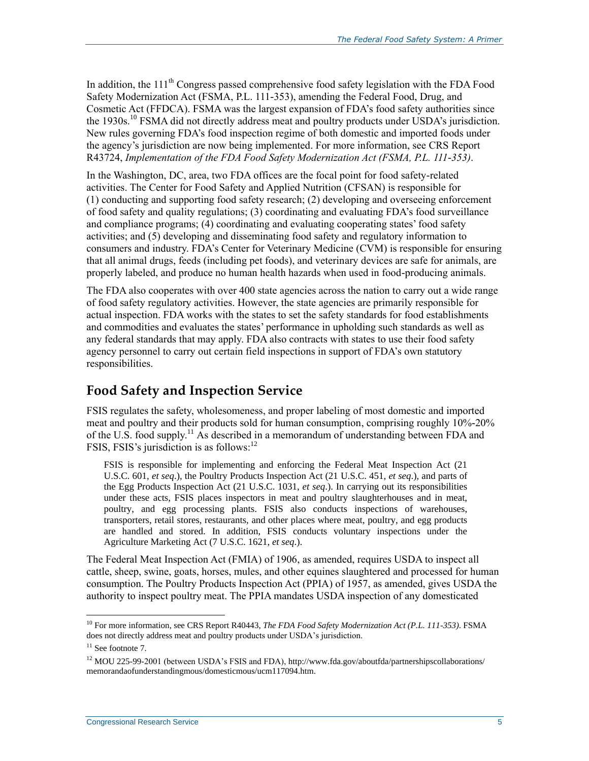In addition, the  $111<sup>th</sup>$  Congress passed comprehensive food safety legislation with the FDA Food Safety Modernization Act (FSMA, P.L. 111-353), amending the Federal Food, Drug, and Cosmetic Act (FFDCA). FSMA was the largest expansion of FDA's food safety authorities since the  $1930s$ .<sup>10</sup> FSMA did not directly address meat and poultry products under USDA's jurisdiction. New rules governing FDA's food inspection regime of both domestic and imported foods under the agency's jurisdiction are now being implemented. For more information, see CRS Report R43724, *Implementation of the FDA Food Safety Modernization Act (FSMA, P.L. 111-353)*.

In the Washington, DC, area, two FDA offices are the focal point for food safety-related activities. The Center for Food Safety and Applied Nutrition (CFSAN) is responsible for (1) conducting and supporting food safety research; (2) developing and overseeing enforcement of food safety and quality regulations; (3) coordinating and evaluating FDA's food surveillance and compliance programs; (4) coordinating and evaluating cooperating states' food safety activities; and (5) developing and disseminating food safety and regulatory information to consumers and industry. FDA's Center for Veterinary Medicine (CVM) is responsible for ensuring that all animal drugs, feeds (including pet foods), and veterinary devices are safe for animals, are properly labeled, and produce no human health hazards when used in food-producing animals.

The FDA also cooperates with over 400 state agencies across the nation to carry out a wide range of food safety regulatory activities. However, the state agencies are primarily responsible for actual inspection. FDA works with the states to set the safety standards for food establishments and commodities and evaluates the states' performance in upholding such standards as well as any federal standards that may apply. FDA also contracts with states to use their food safety agency personnel to carry out certain field inspections in support of FDA's own statutory responsibilities.

### **Food Safety and Inspection Service**

FSIS regulates the safety, wholesomeness, and proper labeling of most domestic and imported meat and poultry and their products sold for human consumption, comprising roughly 10%-20% of the U.S. food supply.<sup>11</sup> As described in a memorandum of understanding between FDA and FSIS, FSIS's jurisdiction is as follows:<sup>12</sup>

FSIS is responsible for implementing and enforcing the Federal Meat Inspection Act (21 U.S.C. 601, *et seq*.), the Poultry Products Inspection Act (21 U.S.C. 451, *et seq*.), and parts of the Egg Products Inspection Act (21 U.S.C. 1031, *et seq*.). In carrying out its responsibilities under these acts, FSIS places inspectors in meat and poultry slaughterhouses and in meat, poultry, and egg processing plants. FSIS also conducts inspections of warehouses, transporters, retail stores, restaurants, and other places where meat, poultry, and egg products are handled and stored. In addition, FSIS conducts voluntary inspections under the Agriculture Marketing Act (7 U.S.C. 1621, *et seq*.).

The Federal Meat Inspection Act (FMIA) of 1906, as amended, requires USDA to inspect all cattle, sheep, swine, goats, horses, mules, and other equines slaughtered and processed for human consumption. The Poultry Products Inspection Act (PPIA) of 1957, as amended, gives USDA the authority to inspect poultry meat. The PPIA mandates USDA inspection of any domesticated

 $\overline{a}$ <sup>10</sup> For more information, see CRS Report R40443, *The FDA Food Safety Modernization Act (P.L. 111-353)*. FSMA does not directly address meat and poultry products under USDA's jurisdiction.

<sup>&</sup>lt;sup>11</sup> See footnot[e 7.](#page-6-0)

<sup>&</sup>lt;sup>12</sup> MOU 225-99-2001 (between USDA's FSIS and FDA), http://www.fda.gov/aboutfda/partnershipscollaborations/ memorandaofunderstandingmous/domesticmous/ucm117094.htm.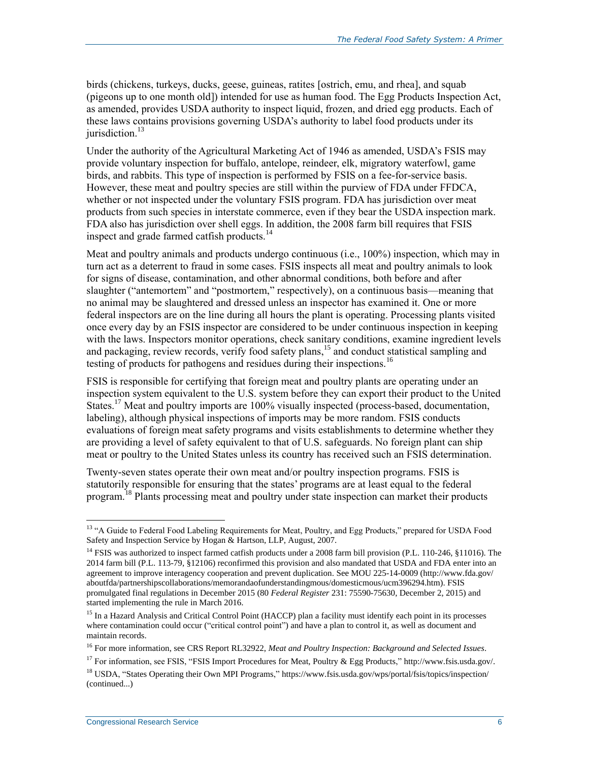birds (chickens, turkeys, ducks, geese, guineas, ratites [ostrich, emu, and rhea], and squab (pigeons up to one month old]) intended for use as human food. The Egg Products Inspection Act, as amended, provides USDA authority to inspect liquid, frozen, and dried egg products. Each of these laws contains provisions governing USDA's authority to label food products under its jurisdiction.<sup>13</sup>

Under the authority of the Agricultural Marketing Act of 1946 as amended, USDA's FSIS may provide voluntary inspection for buffalo, antelope, reindeer, elk, migratory waterfowl, game birds, and rabbits. This type of inspection is performed by FSIS on a fee-for-service basis. However, these meat and poultry species are still within the purview of FDA under FFDCA, whether or not inspected under the voluntary FSIS program. FDA has jurisdiction over meat products from such species in interstate commerce, even if they bear the USDA inspection mark. FDA also has jurisdiction over shell eggs. In addition, the 2008 farm bill requires that FSIS inspect and grade farmed catfish products. $14$ 

Meat and poultry animals and products undergo continuous (i.e., 100%) inspection, which may in turn act as a deterrent to fraud in some cases. FSIS inspects all meat and poultry animals to look for signs of disease, contamination, and other abnormal conditions, both before and after slaughter ("antemortem" and "postmortem," respectively), on a continuous basis—meaning that no animal may be slaughtered and dressed unless an inspector has examined it. One or more federal inspectors are on the line during all hours the plant is operating. Processing plants visited once every day by an FSIS inspector are considered to be under continuous inspection in keeping with the laws. Inspectors monitor operations, check sanitary conditions, examine ingredient levels and packaging, review records, verify food safety plans, <sup>15</sup> and conduct statistical sampling and testing of products for pathogens and residues during their inspections.<sup>16</sup>

FSIS is responsible for certifying that foreign meat and poultry plants are operating under an inspection system equivalent to the U.S. system before they can export their product to the United States.<sup>17</sup> Meat and poultry imports are 100% visually inspected (process-based, documentation, labeling), although physical inspections of imports may be more random. FSIS conducts evaluations of foreign meat safety programs and visits establishments to determine whether they are providing a level of safety equivalent to that of U.S. safeguards. No foreign plant can ship meat or poultry to the United States unless its country has received such an FSIS determination.

Twenty-seven states operate their own meat and/or poultry inspection programs. FSIS is statutorily responsible for ensuring that the states' programs are at least equal to the federal program.<sup>18</sup> Plants processing meat and poultry under state inspection can market their products

<sup>&</sup>lt;sup>13</sup> "A Guide to Federal Food Labeling Requirements for Meat, Poultry, and Egg Products," prepared for USDA Food Safety and Inspection Service by Hogan & Hartson, LLP, August, 2007.

<sup>&</sup>lt;sup>14</sup> FSIS was authorized to inspect farmed catfish products under a 2008 farm bill provision (P.L. 110-246, §11016). The 2014 farm bill (P.L. 113-79, §12106) reconfirmed this provision and also mandated that USDA and FDA enter into an agreement to improve interagency cooperation and prevent duplication. See MOU 225-14-0009 (http://www.fda.gov/ aboutfda/partnershipscollaborations/memorandaofunderstandingmous/domesticmous/ucm396294.htm). FSIS promulgated final regulations in December 2015 (80 *Federal Register* 231: 75590-75630, December 2, 2015) and started implementing the rule in March 2016.

<sup>&</sup>lt;sup>15</sup> In a Hazard Analysis and Critical Control Point (HACCP) plan a facility must identify each point in its processes where contamination could occur ("critical control point") and have a plan to control it, as well as document and maintain records.

<sup>16</sup> For more information, see CRS Report RL32922, *Meat and Poultry Inspection: Background and Selected Issues*.

<sup>&</sup>lt;sup>17</sup> For information, see FSIS, "FSIS Import Procedures for Meat, Poultry & Egg Products," http://www.fsis.usda.gov/.

<sup>&</sup>lt;sup>18</sup> USDA. "States Operating their Own MPI Programs," https://www.fsis.usda.gov/wps/portal/fsis/topics/inspection/ (continued...)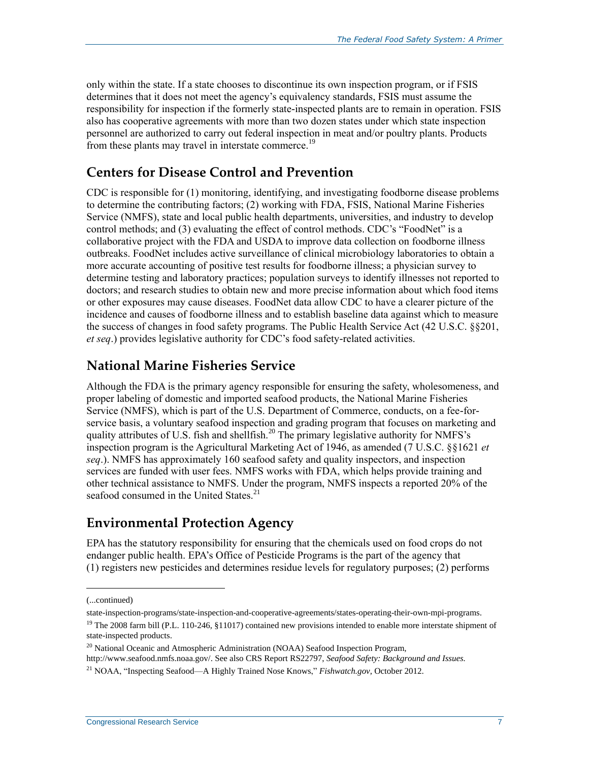only within the state. If a state chooses to discontinue its own inspection program, or if FSIS determines that it does not meet the agency's equivalency standards, FSIS must assume the responsibility for inspection if the formerly state-inspected plants are to remain in operation. FSIS also has cooperative agreements with more than two dozen states under which state inspection personnel are authorized to carry out federal inspection in meat and/or poultry plants. Products from these plants may travel in interstate commerce.<sup>19</sup>

#### **Centers for Disease Control and Prevention**

CDC is responsible for (1) monitoring, identifying, and investigating foodborne disease problems to determine the contributing factors; (2) working with FDA, FSIS, National Marine Fisheries Service (NMFS), state and local public health departments, universities, and industry to develop control methods; and (3) evaluating the effect of control methods. CDC's "FoodNet" is a collaborative project with the FDA and USDA to improve data collection on foodborne illness outbreaks. FoodNet includes active surveillance of clinical microbiology laboratories to obtain a more accurate accounting of positive test results for foodborne illness; a physician survey to determine testing and laboratory practices; population surveys to identify illnesses not reported to doctors; and research studies to obtain new and more precise information about which food items or other exposures may cause diseases. FoodNet data allow CDC to have a clearer picture of the incidence and causes of foodborne illness and to establish baseline data against which to measure the success of changes in food safety programs. The Public Health Service Act (42 U.S.C. §§201, *et seq*.) provides legislative authority for CDC's food safety-related activities.

#### **National Marine Fisheries Service**

Although the FDA is the primary agency responsible for ensuring the safety, wholesomeness, and proper labeling of domestic and imported seafood products, the National Marine Fisheries Service (NMFS), which is part of the U.S. Department of Commerce, conducts, on a fee-forservice basis, a voluntary seafood inspection and grading program that focuses on marketing and quality attributes of U.S. fish and shellfish.<sup>20</sup> The primary legislative authority for NMFS's inspection program is the Agricultural Marketing Act of 1946, as amended (7 U.S.C. §§1621 *et seq*.). NMFS has approximately 160 seafood safety and quality inspectors, and inspection services are funded with user fees. NMFS works with FDA, which helps provide training and other technical assistance to NMFS. Under the program, NMFS inspects a reported 20% of the seafood consumed in the United States.<sup>21</sup>

#### **Environmental Protection Agency**

EPA has the statutory responsibility for ensuring that the chemicals used on food crops do not endanger public health. EPA's Office of Pesticide Programs is the part of the agency that (1) registers new pesticides and determines residue levels for regulatory purposes; (2) performs

<sup>(...</sup>continued)

state-inspection-programs/state-inspection-and-cooperative-agreements/states-operating-their-own-mpi-programs.

<sup>&</sup>lt;sup>19</sup> The 2008 farm bill (P.L. 110-246, §11017) contained new provisions intended to enable more interstate shipment of state-inspected products.

<sup>&</sup>lt;sup>20</sup> National Oceanic and Atmospheric Administration (NOAA) Seafood Inspection Program,

http://www.seafood.nmfs.noaa.gov/. See also CRS Report RS22797, *Seafood Safety: Background and Issues.*

<sup>21</sup> NOAA, "Inspecting Seafood—A Highly Trained Nose Knows," *Fishwatch.gov*, October 2012.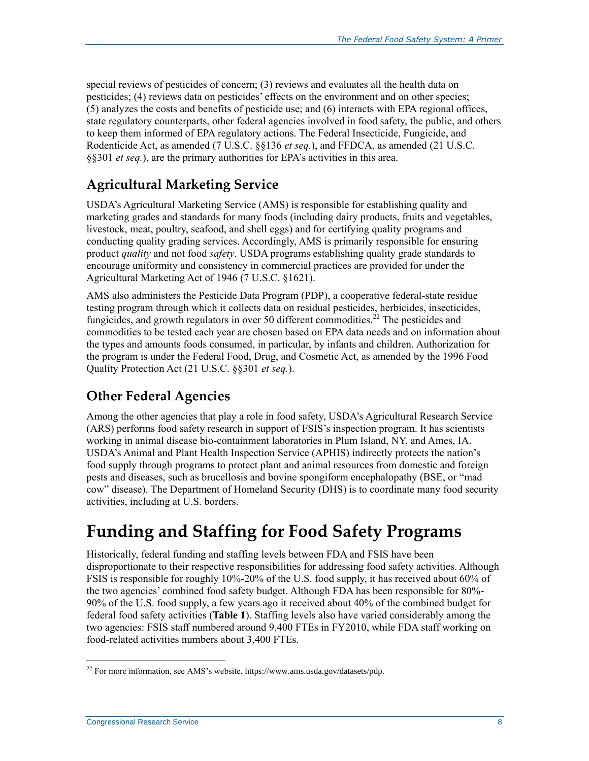special reviews of pesticides of concern; (3) reviews and evaluates all the health data on pesticides; (4) reviews data on pesticides' effects on the environment and on other species; (5) analyzes the costs and benefits of pesticide use; and (6) interacts with EPA regional offices, state regulatory counterparts, other federal agencies involved in food safety, the public, and others to keep them informed of EPA regulatory actions. The Federal Insecticide, Fungicide, and Rodenticide Act, as amended (7 U.S.C. §§136 *et seq.*), and FFDCA, as amended (21 U.S.C. §§301 *et seq.*), are the primary authorities for EPA's activities in this area.

### **Agricultural Marketing Service**

USDA's Agricultural Marketing Service (AMS) is responsible for establishing quality and marketing grades and standards for many foods (including dairy products, fruits and vegetables, livestock, meat, poultry, seafood, and shell eggs) and for certifying quality programs and conducting quality grading services. Accordingly, AMS is primarily responsible for ensuring product *quality* and not food *safety*. USDA programs establishing quality grade standards to encourage uniformity and consistency in commercial practices are provided for under the Agricultural Marketing Act of 1946 (7 U.S.C. §1621).

AMS also administers the Pesticide Data Program (PDP), a cooperative federal-state residue testing program through which it collects data on residual pesticides, herbicides, insecticides, fungicides, and growth regulators in over 50 different commodities.<sup>22</sup> The pesticides and commodities to be tested each year are chosen based on EPA data needs and on information about the types and amounts foods consumed, in particular, by infants and children. Authorization for the program is under the Federal Food, Drug, and Cosmetic Act, as amended by the 1996 Food Quality Protection Act (21 U.S.C. §§301 *et seq.*).

### **Other Federal Agencies**

Among the other agencies that play a role in food safety, USDA's Agricultural Research Service (ARS) performs food safety research in support of FSIS's inspection program. It has scientists working in animal disease bio-containment laboratories in Plum Island, NY, and Ames, IA. USDA's Animal and Plant Health Inspection Service (APHIS) indirectly protects the nation's food supply through programs to protect plant and animal resources from domestic and foreign pests and diseases, such as brucellosis and bovine spongiform encephalopathy (BSE, or "mad cow" disease). The Department of Homeland Security (DHS) is to coordinate many food security activities, including at U.S. borders.

## **Funding and Staffing for Food Safety Programs**

Historically, federal funding and staffing levels between FDA and FSIS have been disproportionate to their respective responsibilities for addressing food safety activities. Although FSIS is responsible for roughly 10%-20% of the U.S. food supply, it has received about 60% of the two agencies' combined food safety budget. Although FDA has been responsible for 80%- 90% of the U.S. food supply, a few years ago it received about 40% of the combined budget for federal food safety activities (**[Table 1](#page-11-0)**). Staffing levels also have varied considerably among the two agencies: FSIS staff numbered around 9,400 FTEs in FY2010, while FDA staff working on food-related activities numbers about 3,400 FTEs.

 $^{22}$  For more information, see AMS's website, https://www.ams.usda.gov/datasets/pdp.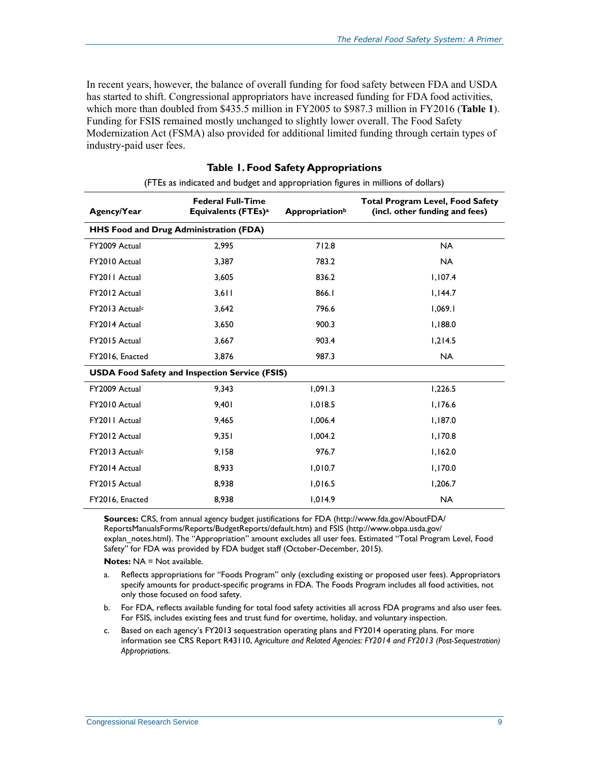In recent years, however, the balance of overall funding for food safety between FDA and USDA has started to shift. Congressional appropriators have increased funding for FDA food activities, which more than doubled from \$435.5 million in FY2005 to \$987.3 million in FY2016 (**[Table 1](#page-11-0)**). Funding for FSIS remained mostly unchanged to slightly lower overall. The Food Safety Modernization Act (FSMA) also provided for additional limited funding through certain types of industry-paid user fees.

<span id="page-11-0"></span>

| Agency/Year                            | <b>Federal Full-Time</b><br>Equivalents (FTEs) <sup>a</sup> | <b>Appropriation</b> b | <b>Total Program Level, Food Safety</b><br>(incl. other funding and fees) |
|----------------------------------------|-------------------------------------------------------------|------------------------|---------------------------------------------------------------------------|
| HHS Food and Drug Administration (FDA) |                                                             |                        |                                                                           |
| FY2009 Actual                          | 2,995                                                       | 712.8                  | <b>NA</b>                                                                 |
| FY2010 Actual                          | 3,387                                                       | 783.2                  | <b>NA</b>                                                                 |
| FY2011 Actual                          | 3,605                                                       | 836.2                  | 1,107.4                                                                   |
| FY2012 Actual                          | 3,611                                                       | 866.1                  | 1,144.7                                                                   |
| FY2013 Actual <sup>c</sup>             | 3,642                                                       | 796.6                  | 1,069.1                                                                   |
| FY2014 Actual                          | 3,650                                                       | 900.3                  | 1,188.0                                                                   |
| FY2015 Actual                          | 3,667                                                       | 903.4                  | 1,214.5                                                                   |
| FY2016, Enacted                        | 3,876                                                       | 987.3                  | <b>NA</b>                                                                 |
|                                        | <b>USDA Food Safety and Inspection Service (FSIS)</b>       |                        |                                                                           |
| FY2009 Actual                          | 9,343                                                       | 1,091.3                | 1,226.5                                                                   |
| FY2010 Actual                          | 9,401                                                       | 1,018.5                | 1,176.6                                                                   |
| FY2011 Actual                          | 9,465                                                       | 1,006.4                | 1,187.0                                                                   |
| FY2012 Actual                          | 9,351                                                       | 1,004.2                | 1,170.8                                                                   |
| FY2013 Actual <sup>c</sup>             | 9,158                                                       | 976.7                  | 1,162.0                                                                   |
| FY2014 Actual                          | 8,933                                                       | 1,010.7                | 1,170.0                                                                   |
| FY2015 Actual                          | 8,938                                                       | 1,016.5                | 1,206.7                                                                   |
| FY2016, Enacted                        | 8,938                                                       | 1,014.9                | <b>NA</b>                                                                 |

| <b>Table 1. Food Safety Appropriations</b>                                      |  |
|---------------------------------------------------------------------------------|--|
| (ETEs as indicated and budget and appropriation figures in millions of dollars) |  |

**Sources:** CRS, from annual agency budget justifications for FDA (http://www.fda.gov/AboutFDA/ ReportsManualsForms/Reports/BudgetReports/default.htm) and FSIS (http://www.obpa.usda.gov/ explan\_notes.html). The "Appropriation" amount excludes all user fees. Estimated "Total Program Level, Food Safety" for FDA was provided by FDA budget staff (October-December, 2015).

**Notes: NA = Not available.** 

<span id="page-11-1"></span>a. Reflects appropriations for "Foods Program" only (excluding existing or proposed user fees). Appropriators specify amounts for product-specific programs in FDA. The Foods Program includes all food activities, not only those focused on food safety.

- <span id="page-11-2"></span>b. For FDA, reflects available funding for total food safety activities all across FDA programs and also user fees. For FSIS, includes existing fees and trust fund for overtime, holiday, and voluntary inspection.
- <span id="page-11-3"></span>c. Based on each agency's FY2013 sequestration operating plans and FY2014 operating plans. For more information see CRS Report R43110, *Agriculture and Related Agencies: FY2014 and FY2013 (Post-Sequestration) Appropriations*.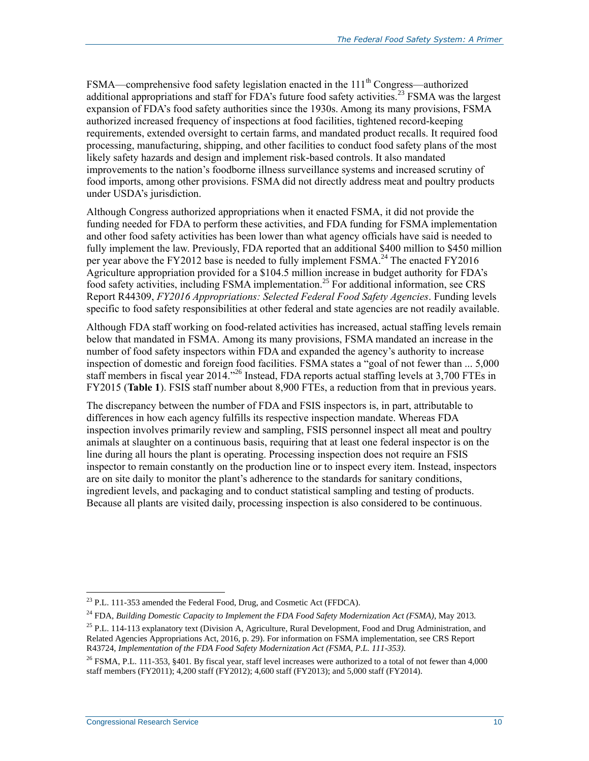FSMA—comprehensive food safety legislation enacted in the 111<sup>th</sup> Congress—authorized additional appropriations and staff for FDA's future food safety activities.<sup>23</sup> FSMA was the largest expansion of FDA's food safety authorities since the 1930s. Among its many provisions, FSMA authorized increased frequency of inspections at food facilities, tightened record-keeping requirements, extended oversight to certain farms, and mandated product recalls. It required food processing, manufacturing, shipping, and other facilities to conduct food safety plans of the most likely safety hazards and design and implement risk-based controls. It also mandated improvements to the nation's foodborne illness surveillance systems and increased scrutiny of food imports, among other provisions. FSMA did not directly address meat and poultry products under USDA's jurisdiction.

Although Congress authorized appropriations when it enacted FSMA, it did not provide the funding needed for FDA to perform these activities, and FDA funding for FSMA implementation and other food safety activities has been lower than what agency officials have said is needed to fully implement the law. Previously, FDA reported that an additional \$400 million to \$450 million per year above the FY2012 base is needed to fully implement FSMA.<sup>24</sup> The enacted FY2016 Agriculture appropriation provided for a \$104.5 million increase in budget authority for FDA's food safety activities, including FSMA implementation.<sup>25</sup> For additional information, see CRS Report R44309, *FY2016 Appropriations: Selected Federal Food Safety Agencies*. Funding levels specific to food safety responsibilities at other federal and state agencies are not readily available.

Although FDA staff working on food-related activities has increased, actual staffing levels remain below that mandated in FSMA. Among its many provisions, FSMA mandated an increase in the number of food safety inspectors within FDA and expanded the agency's authority to increase inspection of domestic and foreign food facilities. FSMA states a "goal of not fewer than ... 5,000 staff members in fiscal year 2014."<sup>26</sup> Instead, FDA reports actual staffing levels at 3,700 FTEs in FY2015 (**[Table 1](#page-11-0)**). FSIS staff number about 8,900 FTEs, a reduction from that in previous years.

The discrepancy between the number of FDA and FSIS inspectors is, in part, attributable to differences in how each agency fulfills its respective inspection mandate. Whereas FDA inspection involves primarily review and sampling, FSIS personnel inspect all meat and poultry animals at slaughter on a continuous basis, requiring that at least one federal inspector is on the line during all hours the plant is operating. Processing inspection does not require an FSIS inspector to remain constantly on the production line or to inspect every item. Instead, inspectors are on site daily to monitor the plant's adherence to the standards for sanitary conditions, ingredient levels, and packaging and to conduct statistical sampling and testing of products. Because all plants are visited daily, processing inspection is also considered to be continuous.

 $^{23}$  P.L. 111-353 amended the Federal Food, Drug, and Cosmetic Act (FFDCA).

<sup>24</sup> FDA, *Building Domestic Capacity to Implement the FDA Food Safety Modernization Act (FSMA)*, May 2013.

 $25$  P.L. 114-113 explanatory text (Division A, Agriculture, Rural Development, Food and Drug Administration, and Related Agencies Appropriations Act, 2016, p. 29). For information on FSMA implementation, see CRS Report R43724, *Implementation of the FDA Food Safety Modernization Act (FSMA, P.L. 111-353)*.

<sup>&</sup>lt;sup>26</sup> FSMA, P.L. 111-353, §401. By fiscal year, staff level increases were authorized to a total of not fewer than 4,000 staff members (FY2011); 4,200 staff (FY2012); 4,600 staff (FY2013); and 5,000 staff (FY2014).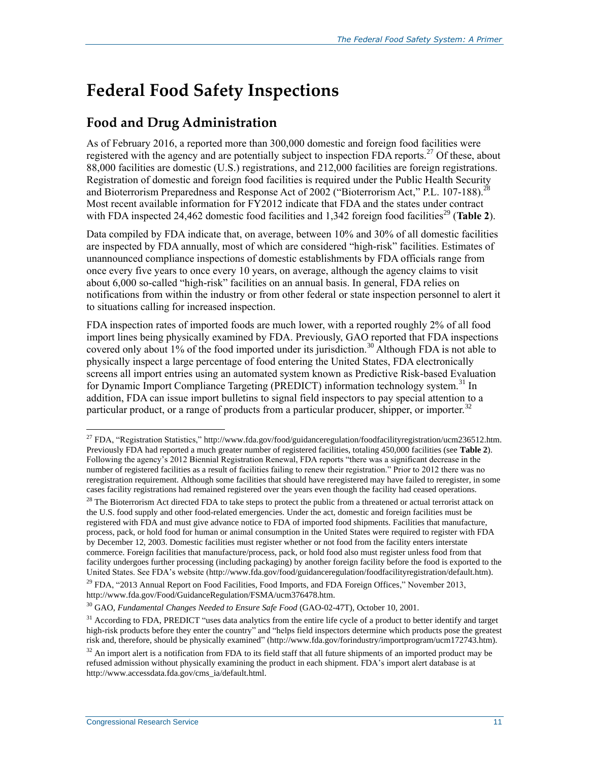# **Federal Food Safety Inspections**

### **Food and Drug Administration**

As of February 2016, a reported more than 300,000 domestic and foreign food facilities were registered with the agency and are potentially subject to inspection FDA reports.<sup>27</sup> Of these, about 88,000 facilities are domestic (U.S.) registrations, and 212,000 facilities are foreign registrations. Registration of domestic and foreign food facilities is required under the Public Health Security and Bioterrorism Preparedness and Response Act of 2002 ("Bioterrorism Act," P.L. 107-188).<sup>28</sup> Most recent available information for FY2012 indicate that FDA and the states under contract with FDA inspected 24,462 domestic food facilities and  $1,342$  foreign food facilities<sup>29</sup> (**[Table 2](#page-14-0)**).

Data compiled by FDA indicate that, on average, between 10% and 30% of all domestic facilities are inspected by FDA annually, most of which are considered "high-risk" facilities. Estimates of unannounced compliance inspections of domestic establishments by FDA officials range from once every five years to once every 10 years, on average, although the agency claims to visit about 6,000 so-called "high-risk" facilities on an annual basis. In general, FDA relies on notifications from within the industry or from other federal or state inspection personnel to alert it to situations calling for increased inspection.

FDA inspection rates of imported foods are much lower, with a reported roughly 2% of all food import lines being physically examined by FDA. Previously, GAO reported that FDA inspections covered only about 1% of the food imported under its jurisdiction.<sup>30</sup> Although FDA is not able to physically inspect a large percentage of food entering the United States, FDA electronically screens all import entries using an automated system known as Predictive Risk-based Evaluation for Dynamic Import Compliance Targeting (PREDICT) information technology system.<sup>31</sup> In addition, FDA can issue import bulletins to signal field inspectors to pay special attention to a particular product, or a range of products from a particular producer, shipper, or importer.<sup>32</sup>

<sup>&</sup>lt;sup>27</sup> FDA, "Registration Statistics," http://www.fda.gov/food/guidanceregulation/foodfacilityregistration/ucm236512.htm. Previously FDA had reported a much greater number of registered facilities, totaling 450,000 facilities (see **[Table 2](#page-14-0)**). Following the agency's 2012 Biennial Registration Renewal, FDA reports "there was a significant decrease in the number of registered facilities as a result of facilities failing to renew their registration." Prior to 2012 there was no reregistration requirement. Although some facilities that should have reregistered may have failed to reregister, in some cases facility registrations had remained registered over the years even though the facility had ceased operations.

 $^{28}$  The Bioterrorism Act directed FDA to take steps to protect the public from a threatened or actual terrorist attack on the U.S. food supply and other food-related emergencies. Under the act, domestic and foreign facilities must be registered with FDA and must give advance notice to FDA of imported food shipments. Facilities that manufacture, process, pack, or hold food for human or animal consumption in the United States were required to register with FDA by December 12, 2003. Domestic facilities must register whether or not food from the facility enters interstate commerce. Foreign facilities that manufacture/process, pack, or hold food also must register unless food from that facility undergoes further processing (including packaging) by another foreign facility before the food is exported to the United States. See FDA's website (http://www.fda.gov/food/guidanceregulation/foodfacilityregistration/default.htm).

<sup>&</sup>lt;sup>29</sup> FDA, "2013 Annual Report on Food Facilities, Food Imports, and FDA Foreign Offices," November 2013, http://www.fda.gov/Food/GuidanceRegulation/FSMA/ucm376478.htm.

<sup>30</sup> GAO, *Fundamental Changes Needed to Ensure Safe Food* (GAO-02-47T), October 10, 2001.

 $31$  According to FDA, PREDICT "uses data analytics from the entire life cycle of a product to better identify and target high-risk products before they enter the country" and "helps field inspectors determine which products pose the greatest risk and, therefore, should be physically examined" (http://www.fda.gov/forindustry/importprogram/ucm172743.htm).

 $32$  An import alert is a notification from FDA to its field staff that all future shipments of an imported product may be refused admission without physically examining the product in each shipment. FDA's import alert database is at http://www.accessdata.fda.gov/cms\_ia/default.html.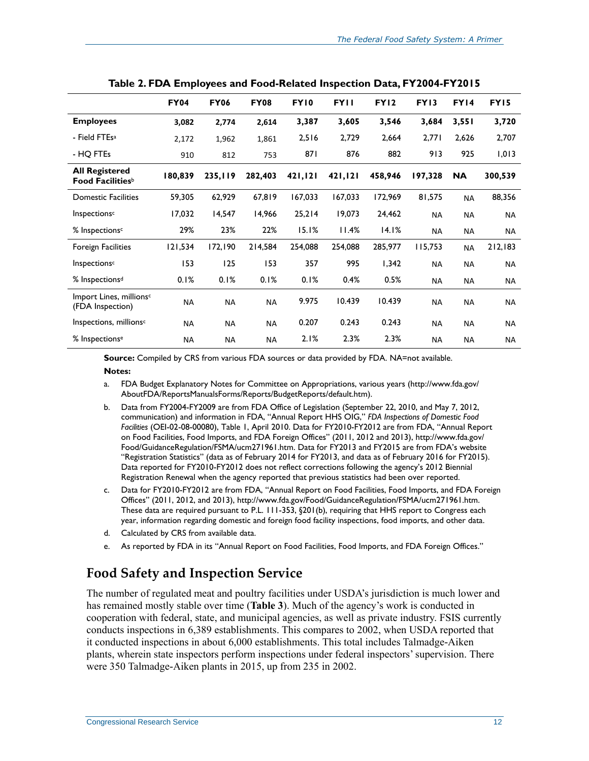|                                                         | <b>FY04</b> | <b>FY06</b> | <b>FY08</b> | <b>FY10</b> | <b>FYII</b> | <b>FY12</b> | <b>FY13</b> | <b>FY14</b> | <b>FY15</b> |
|---------------------------------------------------------|-------------|-------------|-------------|-------------|-------------|-------------|-------------|-------------|-------------|
| <b>Employees</b>                                        | 3,082       | 2,774       | 2,614       | 3,387       | 3,605       | 3,546       | 3,684       | 3,551       | 3,720       |
| - Field FTEs <sup>a</sup>                               | 2,172       | 1,962       | 1,861       | 2,516       | 2,729       | 2,664       | 2,771       | 2,626       | 2,707       |
| - HQ FTEs                                               | 910         | 812         | 753         | 871         | 876         | 882         | 913         | 925         | 1,013       |
| <b>All Registered</b><br>Food Facilities <sup>b</sup>   | 180,839     | 235,119     | 282,403     | 421,121     | 421,121     | 458,946     | 197,328     | <b>NA</b>   | 300,539     |
| <b>Domestic Facilities</b>                              | 59,305      | 62,929      | 67,819      | 167,033     | 167,033     | 172,969     | 81,575      | <b>NA</b>   | 88,356      |
| Inspections <sup>c</sup>                                | 17,032      | 14,547      | 14,966      | 25,214      | 19,073      | 24,462      | <b>NA</b>   | <b>NA</b>   | <b>NA</b>   |
| % Inspections <sup>c</sup>                              | 29%         | 23%         | 22%         | 15.1%       | 11.4%       | 14.1%       | <b>NA</b>   | <b>NA</b>   | <b>NA</b>   |
| <b>Foreign Facilities</b>                               | 121,534     | 172,190     | 214,584     | 254,088     | 254,088     | 285,977     | 115,753     | <b>NA</b>   | 212,183     |
| Inspections <sup>c</sup>                                | 153         | 125         | 153         | 357         | 995         | 1,342       | <b>NA</b>   | <b>NA</b>   | NA          |
| % Inspections <sup>d</sup>                              | 0.1%        | 0.1%        | 0.1%        | 0.1%        | 0.4%        | 0.5%        | <b>NA</b>   | ΝA          | NA.         |
| Import Lines, millions <sup>c</sup><br>(FDA Inspection) | <b>NA</b>   | <b>NA</b>   | <b>NA</b>   | 9.975       | 10.439      | 10.439      | <b>NA</b>   | <b>NA</b>   | NA          |
| Inspections, millions <sup>c</sup>                      | <b>NA</b>   | <b>NA</b>   | <b>NA</b>   | 0.207       | 0.243       | 0.243       | <b>NA</b>   | <b>NA</b>   | <b>NA</b>   |
| % Inspections <sup>e</sup>                              | <b>NA</b>   | <b>NA</b>   | <b>NA</b>   | 2.1%        | 2.3%        | 2.3%        | <b>NA</b>   | <b>NA</b>   | <b>NA</b>   |

<span id="page-14-0"></span>

| Table 2. FDA Employees and Food-Related Inspection Data, FY2004-FY2015 |  |  |  |  |  |
|------------------------------------------------------------------------|--|--|--|--|--|
|------------------------------------------------------------------------|--|--|--|--|--|

**Source:** Compiled by CRS from various FDA sources or data provided by FDA. NA=not available.

#### **Notes:**

- <span id="page-14-1"></span>a. FDA Budget Explanatory Notes for Committee on Appropriations, various years (http://www.fda.gov/ AboutFDA/ReportsManualsForms/Reports/BudgetReports/default.htm).
- <span id="page-14-2"></span>b. Data from FY2004-FY2009 are from FDA Office of Legislation (September 22, 2010, and May 7, 2012, communication) and information in FDA, "Annual Report HHS OIG," *FDA Inspections of Domestic Food Facilities* (OEI-02-08-00080), Table 1, April 2010. Data for FY2010-FY2012 are from FDA, "Annual Report on Food Facilities, Food Imports, and FDA Foreign Offices" (2011, 2012 and 2013), http://www.fda.gov/ Food/GuidanceRegulation/FSMA/ucm271961.htm. Data for FY2013 and FY2015 are from FDA's website "Registration Statistics" (data as of February 2014 for FY2013, and data as of February 2016 for FY2015). Data reported for FY2010-FY2012 does not reflect corrections following the agency's 2012 Biennial Registration Renewal when the agency reported that previous statistics had been over reported.
- <span id="page-14-3"></span>c. Data for FY2010-FY2012 are from FDA, "Annual Report on Food Facilities, Food Imports, and FDA Foreign Offices" (2011, 2012, and 2013), http://www.fda.gov/Food/GuidanceRegulation/FSMA/ucm271961.htm. These data are required pursuant to P.L. 111-353, §201(b), requiring that HHS report to Congress each year, information regarding domestic and foreign food facility inspections, food imports, and other data.
- <span id="page-14-4"></span>d. Calculated by CRS from available data.
- <span id="page-14-5"></span>e. As reported by FDA in its "Annual Report on Food Facilities, Food Imports, and FDA Foreign Offices."

### **Food Safety and Inspection Service**

The number of regulated meat and poultry facilities under USDA's jurisdiction is much lower and has remained mostly stable over time (**[Table 3](#page-15-0)**). Much of the agency's work is conducted in cooperation with federal, state, and municipal agencies, as well as private industry. FSIS currently conducts inspections in 6,389 establishments. This compares to 2002, when USDA reported that it conducted inspections in about 6,000 establishments. This total includes Talmadge-Aiken plants, wherein state inspectors perform inspections under federal inspectors' supervision. There were 350 Talmadge-Aiken plants in 2015, up from 235 in 2002.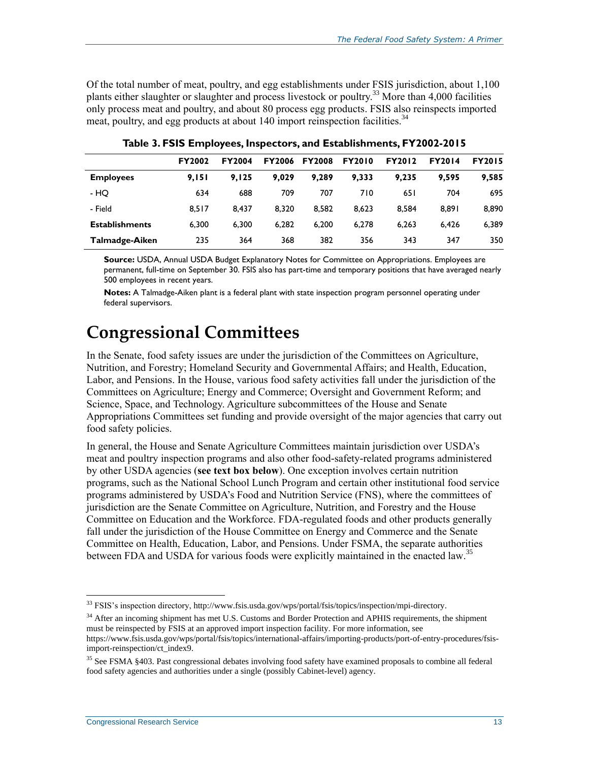Of the total number of meat, poultry, and egg establishments under FSIS jurisdiction, about 1,100 plants either slaughter or slaughter and process livestock or poultry.<sup>33</sup> More than 4,000 facilities only process meat and poultry, and about 80 process egg products. FSIS also reinspects imported meat, poultry, and egg products at about 140 import reinspection facilities.<sup>34</sup>

<span id="page-15-0"></span>

|                       | <b>FY2002</b> | <b>FY2004</b> | <b>FY2006</b> | <b>FY2008</b> | <b>FY2010</b> | <b>FY2012</b> | <b>FY2014</b> | <b>FY2015</b> |
|-----------------------|---------------|---------------|---------------|---------------|---------------|---------------|---------------|---------------|
| <b>Employees</b>      | 9.151         | 9.125         | 9.029         | 9.289         | 9.333         | 9.235         | 9.595         | 9,585         |
| - HQ                  | 634           | 688           | 709           | 707           | 710           | 65 I          | 704           | 695           |
| - Field               | 8.517         | 8.437         | 8.320         | 8.582         | 8.623         | 8.584         | 8.891         | 8,890         |
| <b>Establishments</b> | 6.300         | 6.300         | 6.282         | 6.200         | 6.278         | 6.263         | 6,426         | 6,389         |
| Talmadge-Aiken        | 235           | 364           | 368           | 382           | 356           | 343           | 347           | 350           |

**Table 3. FSIS Employees, Inspectors, and Establishments, FY2002-2015**

**Source:** USDA, Annual USDA Budget Explanatory Notes for Committee on Appropriations. Employees are permanent, full-time on September 30. FSIS also has part-time and temporary positions that have averaged nearly 500 employees in recent years.

**Notes:** A Talmadge-Aiken plant is a federal plant with state inspection program personnel operating under federal supervisors.

## **Congressional Committees**

In the Senate, food safety issues are under the jurisdiction of the Committees on Agriculture, Nutrition, and Forestry; Homeland Security and Governmental Affairs; and Health, Education, Labor, and Pensions. In the House, various food safety activities fall under the jurisdiction of the Committees on Agriculture; Energy and Commerce; Oversight and Government Reform; and Science, Space, and Technology. Agriculture subcommittees of the House and Senate Appropriations Committees set funding and provide oversight of the major agencies that carry out food safety policies.

In general, the House and Senate Agriculture Committees maintain jurisdiction over USDA's meat and poultry inspection programs and also other food-safety-related programs administered by other USDA agencies (**see text box below**). One exception involves certain nutrition programs, such as the National School Lunch Program and certain other institutional food service programs administered by USDA's Food and Nutrition Service (FNS), where the committees of jurisdiction are the Senate Committee on Agriculture, Nutrition, and Forestry and the House Committee on Education and the Workforce. FDA-regulated foods and other products generally fall under the jurisdiction of the House Committee on Energy and Commerce and the Senate Committee on Health, Education, Labor, and Pensions. Under FSMA, the separate authorities between FDA and USDA for various foods were explicitly maintained in the enacted law.<sup>35</sup>

<sup>&</sup>lt;sup>33</sup> FSIS's inspection directory, http://www.fsis.usda.gov/wps/portal/fsis/topics/inspection/mpi-directory.

<sup>&</sup>lt;sup>34</sup> After an incoming shipment has met U.S. Customs and Border Protection and APHIS requirements, the shipment must be reinspected by FSIS at an approved import inspection facility. For more information, see https://www.fsis.usda.gov/wps/portal/fsis/topics/international-affairs/importing-products/port-of-entry-procedures/fsisimport-reinspection/ct\_index9.

<sup>&</sup>lt;sup>35</sup> See FSMA §403. Past congressional debates involving food safety have examined proposals to combine all federal food safety agencies and authorities under a single (possibly Cabinet-level) agency.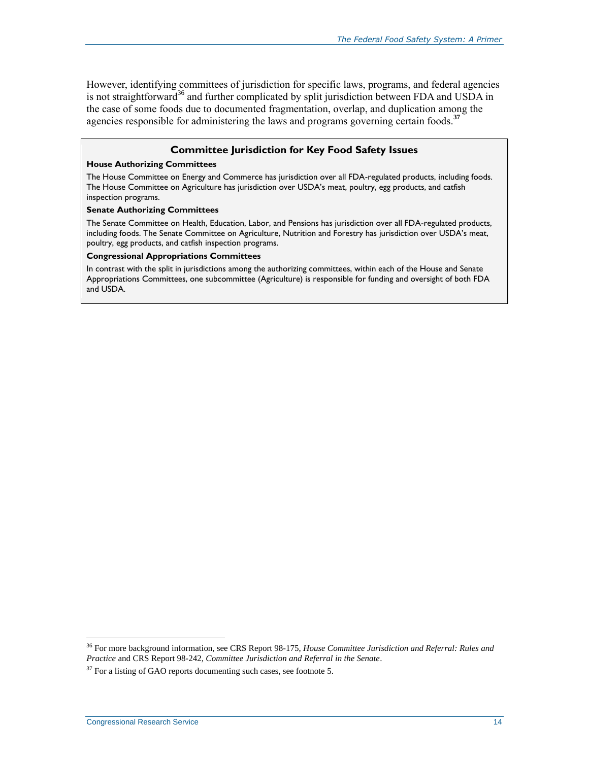However, identifying committees of jurisdiction for specific laws, programs, and federal agencies is not straightforward<sup>36</sup> and further complicated by split jurisdiction between FDA and USDA in the case of some foods due to documented fragmentation, overlap, and duplication among the agencies responsible for administering the laws and programs governing certain foods.**<sup>37</sup>**

#### **Committee Jurisdiction for Key Food Safety Issues**

#### **House Authorizing Committees**

The House Committee on Energy and Commerce has jurisdiction over all FDA-regulated products, including foods. The House Committee on Agriculture has jurisdiction over USDA's meat, poultry, egg products, and catfish inspection programs.

#### **Senate Authorizing Committees**

The Senate Committee on Health, Education, Labor, and Pensions has jurisdiction over all FDA-regulated products, including foods. The Senate Committee on Agriculture, Nutrition and Forestry has jurisdiction over USDA's meat, poultry, egg products, and catfish inspection programs.

#### **Congressional Appropriations Committees**

In contrast with the split in jurisdictions among the authorizing committees, within each of the House and Senate Appropriations Committees, one subcommittee (Agriculture) is responsible for funding and oversight of both FDA and USDA.

<sup>36</sup> For more background information, see CRS Report 98-175, *House Committee Jurisdiction and Referral: Rules and Practice* and CRS Report 98-242, *Committee Jurisdiction and Referral in the Senate*.

 $37$  For a listing of GAO reports documenting such cases, see footnote [5.](#page-6-1)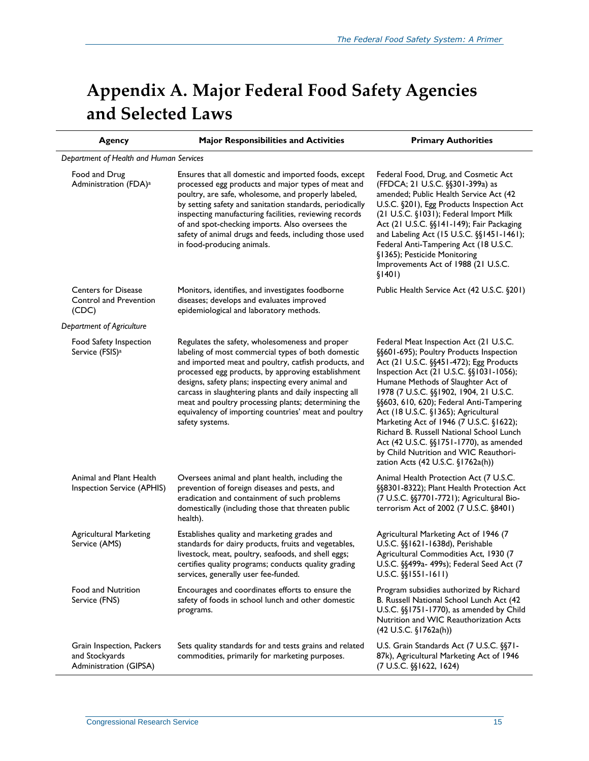# <span id="page-17-0"></span>**Appendix A. Major Federal Food Safety Agencies and Selected Laws**

| <b>Agency</b>                                                         | <b>Major Responsibilities and Activities</b>                                                                                                                                                                                                                                                                                                                                                                                                                          | <b>Primary Authorities</b>                                                                                                                                                                                                                                                                                                                                                                                                                                                                                                                                 |
|-----------------------------------------------------------------------|-----------------------------------------------------------------------------------------------------------------------------------------------------------------------------------------------------------------------------------------------------------------------------------------------------------------------------------------------------------------------------------------------------------------------------------------------------------------------|------------------------------------------------------------------------------------------------------------------------------------------------------------------------------------------------------------------------------------------------------------------------------------------------------------------------------------------------------------------------------------------------------------------------------------------------------------------------------------------------------------------------------------------------------------|
| Department of Health and Human Services                               |                                                                                                                                                                                                                                                                                                                                                                                                                                                                       |                                                                                                                                                                                                                                                                                                                                                                                                                                                                                                                                                            |
| Food and Drug<br>Administration (FDA) <sup>a</sup>                    | Ensures that all domestic and imported foods, except<br>processed egg products and major types of meat and<br>poultry, are safe, wholesome, and properly labeled,<br>by setting safety and sanitation standards, periodically<br>inspecting manufacturing facilities, reviewing records<br>of and spot-checking imports. Also oversees the<br>safety of animal drugs and feeds, including those used<br>in food-producing animals.                                    | Federal Food, Drug, and Cosmetic Act<br>(FFDCA; 21 U.S.C. §§301-399a) as<br>amended; Public Health Service Act (42<br>U.S.C. §201), Egg Products Inspection Act<br>(21 U.S.C. §1031); Federal Import Milk<br>Act (21 U.S.C. §§141-149); Fair Packaging<br>and Labeling Act (15 U.S.C. §§1451-1461);<br>Federal Anti-Tampering Act (18 U.S.C.<br>§1365); Pesticide Monitoring<br>Improvements Act of 1988 (21 U.S.C.<br>\$1401)                                                                                                                             |
| <b>Centers for Disease</b><br>Control and Prevention<br>(CDC)         | Monitors, identifies, and investigates foodborne<br>diseases; develops and evaluates improved<br>epidemiological and laboratory methods.                                                                                                                                                                                                                                                                                                                              | Public Health Service Act (42 U.S.C. §201)                                                                                                                                                                                                                                                                                                                                                                                                                                                                                                                 |
| Department of Agriculture                                             |                                                                                                                                                                                                                                                                                                                                                                                                                                                                       |                                                                                                                                                                                                                                                                                                                                                                                                                                                                                                                                                            |
| Food Safety Inspection<br>Service (FSIS) <sup>a</sup>                 | Regulates the safety, wholesomeness and proper<br>labeling of most commercial types of both domestic<br>and imported meat and poultry, catfish products, and<br>processed egg products, by approving establishment<br>designs, safety plans; inspecting every animal and<br>carcass in slaughtering plants and daily inspecting all<br>meat and poultry processing plants; determining the<br>equivalency of importing countries' meat and poultry<br>safety systems. | Federal Meat Inspection Act (21 U.S.C.<br>§§601-695); Poultry Products Inspection<br>Act (21 U.S.C. §§451-472); Egg Products<br>Inspection Act (21 U.S.C. §§1031-1056);<br>Humane Methods of Slaughter Act of<br>1978 (7 U.S.C. §§1902, 1904, 21 U.S.C.<br>§§603, 610, 620); Federal Anti-Tampering<br>Act (18 U.S.C. §1365); Agricultural<br>Marketing Act of 1946 (7 U.S.C. §1622);<br>Richard B. Russell National School Lunch<br>Act (42 U.S.C. §§1751-1770), as amended<br>by Child Nutrition and WIC Reauthori-<br>zation Acts (42 U.S.C. §1762a(h)) |
| Animal and Plant Health<br>Inspection Service (APHIS)                 | Oversees animal and plant health, including the<br>prevention of foreign diseases and pests, and<br>eradication and containment of such problems<br>domestically (including those that threaten public<br>health).                                                                                                                                                                                                                                                    | Animal Health Protection Act (7 U.S.C.<br>§§8301-8322); Plant Health Protection Act<br>(7 U.S.C. §§7701-7721); Agricultural Bio-<br>terrorism Act of 2002 (7 U.S.C. §8401)                                                                                                                                                                                                                                                                                                                                                                                 |
| <b>Agricultural Marketing</b><br>Service (AMS)                        | Establishes quality and marketing grades and<br>standards for dairy products, fruits and vegetables,<br>livestock, meat, poultry, seafoods, and shell eggs;<br>certifies quality programs; conducts quality grading<br>services, generally user fee-funded.                                                                                                                                                                                                           | Agricultural Marketing Act of 1946 (7<br>U.S.C. §§1621-1638d), Perishable<br>Agricultural Commodities Act, 1930 (7<br>U.S.C. §§499a- 499s); Federal Seed Act (7<br>$U.S.C.$ $\S(1551-1611)$                                                                                                                                                                                                                                                                                                                                                                |
| Food and Nutrition<br>Service (FNS)                                   | Encourages and coordinates efforts to ensure the<br>safety of foods in school lunch and other domestic<br>programs.                                                                                                                                                                                                                                                                                                                                                   | Program subsidies authorized by Richard<br>B. Russell National School Lunch Act (42<br>U.S.C. §§1751-1770), as amended by Child<br>Nutrition and WIC Reauthorization Acts<br>$(42 \text{ U.S.C. } \S1762a(h))$                                                                                                                                                                                                                                                                                                                                             |
| Grain Inspection, Packers<br>and Stockyards<br>Administration (GIPSA) | Sets quality standards for and tests grains and related<br>commodities, primarily for marketing purposes.                                                                                                                                                                                                                                                                                                                                                             | U.S. Grain Standards Act (7 U.S.C. §§71-<br>87k), Agricultural Marketing Act of 1946<br>(7 U.S.C. §§1622, 1624)                                                                                                                                                                                                                                                                                                                                                                                                                                            |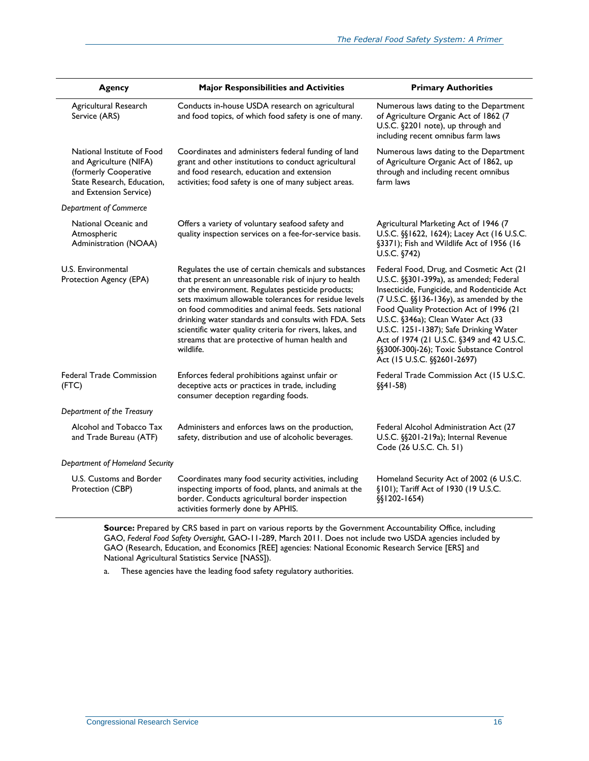| <b>Agency</b>                                                                                                                         | <b>Major Responsibilities and Activities</b>                                                                                                                                                                                                                                                                                                                                                                                                                           | <b>Primary Authorities</b>                                                                                                                                                                                                                                                                                                                                                                                                             |
|---------------------------------------------------------------------------------------------------------------------------------------|------------------------------------------------------------------------------------------------------------------------------------------------------------------------------------------------------------------------------------------------------------------------------------------------------------------------------------------------------------------------------------------------------------------------------------------------------------------------|----------------------------------------------------------------------------------------------------------------------------------------------------------------------------------------------------------------------------------------------------------------------------------------------------------------------------------------------------------------------------------------------------------------------------------------|
| Agricultural Research<br>Service (ARS)                                                                                                | Conducts in-house USDA research on agricultural<br>and food topics, of which food safety is one of many.                                                                                                                                                                                                                                                                                                                                                               | Numerous laws dating to the Department<br>of Agriculture Organic Act of 1862 (7<br>U.S.C. §2201 note), up through and<br>including recent omnibus farm laws                                                                                                                                                                                                                                                                            |
| National Institute of Food<br>and Agriculture (NIFA)<br>(formerly Cooperative<br>State Research, Education,<br>and Extension Service) | Coordinates and administers federal funding of land<br>grant and other institutions to conduct agricultural<br>and food research, education and extension<br>activities; food safety is one of many subject areas.                                                                                                                                                                                                                                                     | Numerous laws dating to the Department<br>of Agriculture Organic Act of 1862, up<br>through and including recent omnibus<br>farm laws                                                                                                                                                                                                                                                                                                  |
| Department of Commerce                                                                                                                |                                                                                                                                                                                                                                                                                                                                                                                                                                                                        |                                                                                                                                                                                                                                                                                                                                                                                                                                        |
| National Oceanic and<br>Atmospheric<br>Administration (NOAA)                                                                          | Offers a variety of voluntary seafood safety and<br>quality inspection services on a fee-for-service basis.                                                                                                                                                                                                                                                                                                                                                            | Agricultural Marketing Act of 1946 (7<br>U.S.C. §§1622, 1624); Lacey Act (16 U.S.C.<br>§3371); Fish and Wildlife Act of 1956 (16<br>U.S.C. §742)                                                                                                                                                                                                                                                                                       |
| U.S. Environmental<br>Protection Agency (EPA)                                                                                         | Regulates the use of certain chemicals and substances<br>that present an unreasonable risk of injury to health<br>or the environment. Regulates pesticide products;<br>sets maximum allowable tolerances for residue levels<br>on food commodities and animal feeds. Sets national<br>drinking water standards and consults with FDA. Sets<br>scientific water quality criteria for rivers, lakes, and<br>streams that are protective of human health and<br>wildlife. | Federal Food, Drug, and Cosmetic Act (21<br>U.S.C. §§301-399a), as amended; Federal<br>Insecticide, Fungicide, and Rodenticide Act<br>$(7 U.S.C. \S\S136-136y)$ , as amended by the<br>Food Quality Protection Act of 1996 (21<br>U.S.C. §346a); Clean Water Act (33<br>U.S.C. 1251-1387); Safe Drinking Water<br>Act of 1974 (21 U.S.C. §349 and 42 U.S.C.<br>§§300f-300j-26); Toxic Substance Control<br>Act (15 U.S.C. §§2601-2697) |
| <b>Federal Trade Commission</b><br>(FTC)                                                                                              | Enforces federal prohibitions against unfair or<br>deceptive acts or practices in trade, including<br>consumer deception regarding foods.                                                                                                                                                                                                                                                                                                                              | Federal Trade Commission Act (15 U.S.C.<br>$\S(41-58)$                                                                                                                                                                                                                                                                                                                                                                                 |
| Department of the Treasury                                                                                                            |                                                                                                                                                                                                                                                                                                                                                                                                                                                                        |                                                                                                                                                                                                                                                                                                                                                                                                                                        |
| Alcohol and Tobacco Tax<br>and Trade Bureau (ATF)                                                                                     | Administers and enforces laws on the production,<br>safety, distribution and use of alcoholic beverages.                                                                                                                                                                                                                                                                                                                                                               | Federal Alcohol Administration Act (27<br>U.S.C. §§201-219a); Internal Revenue<br>Code (26 U.S.C. Ch. 51)                                                                                                                                                                                                                                                                                                                              |
| Department of Homeland Security                                                                                                       |                                                                                                                                                                                                                                                                                                                                                                                                                                                                        |                                                                                                                                                                                                                                                                                                                                                                                                                                        |
| U.S. Customs and Border<br>Protection (CBP)                                                                                           | Coordinates many food security activities, including<br>inspecting imports of food, plants, and animals at the<br>border. Conducts agricultural border inspection<br>activities formerly done by APHIS.                                                                                                                                                                                                                                                                | Homeland Security Act of 2002 (6 U.S.C.<br>§101); Tariff Act of 1930 (19 U.S.C.<br>$\S$ [1202-1654]                                                                                                                                                                                                                                                                                                                                    |

Source: Prepared by CRS based in part on various reports by the Government Accountability Office, including GAO, *Federal Food Safety Oversight*, GAO-11-289, March 2011. Does not include two USDA agencies included by GAO (Research, Education, and Economics [REE] agencies: National Economic Research Service [ERS] and National Agricultural Statistics Service [NASS]).

<span id="page-18-0"></span>a. These agencies have the leading food safety regulatory authorities.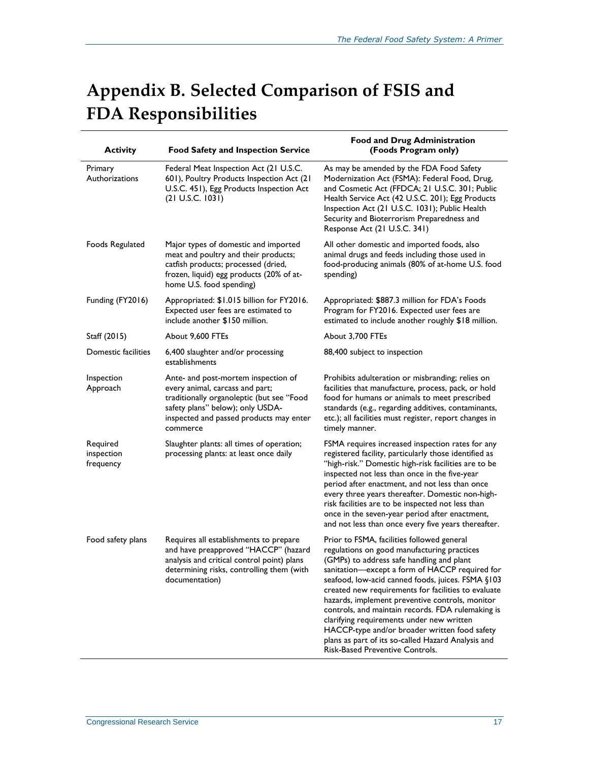# <span id="page-19-0"></span>**Appendix B. Selected Comparison of FSIS and FDA Responsibilities**

| <b>Activity</b>                     | <b>Food Safety and Inspection Service</b>                                                                                                                                                                      | <b>Food and Drug Administration</b><br>(Foods Program only)                                                                                                                                                                                                                                                                                                                                                                                                                                                                                                                                         |
|-------------------------------------|----------------------------------------------------------------------------------------------------------------------------------------------------------------------------------------------------------------|-----------------------------------------------------------------------------------------------------------------------------------------------------------------------------------------------------------------------------------------------------------------------------------------------------------------------------------------------------------------------------------------------------------------------------------------------------------------------------------------------------------------------------------------------------------------------------------------------------|
| Primary<br>Authorizations           | Federal Meat Inspection Act (21 U.S.C.<br>601), Poultry Products Inspection Act (21<br>U.S.C. 451), Egg Products Inspection Act<br>(21 U.S.C. 1031)                                                            | As may be amended by the FDA Food Safety<br>Modernization Act (FSMA): Federal Food, Drug,<br>and Cosmetic Act (FFDCA; 21 U.S.C. 301; Public<br>Health Service Act (42 U.S.C. 201); Egg Products<br>Inspection Act (21 U.S.C. 1031); Public Health<br>Security and Bioterrorism Preparedness and<br>Response Act (21 U.S.C. 341)                                                                                                                                                                                                                                                                     |
| Foods Regulated                     | Major types of domestic and imported<br>meat and poultry and their products;<br>catfish products; processed (dried,<br>frozen, liquid) egg products (20% of at-<br>home U.S. food spending)                    | All other domestic and imported foods, also<br>animal drugs and feeds including those used in<br>food-producing animals (80% of at-home U.S. food<br>spending)                                                                                                                                                                                                                                                                                                                                                                                                                                      |
| Funding (FY2016)                    | Appropriated: \$1.015 billion for FY2016.<br>Expected user fees are estimated to<br>include another \$150 million.                                                                                             | Appropriated: \$887.3 million for FDA's Foods<br>Program for FY2016. Expected user fees are<br>estimated to include another roughly \$18 million.                                                                                                                                                                                                                                                                                                                                                                                                                                                   |
| Staff (2015)                        | About 9,600 FTEs                                                                                                                                                                                               | About 3,700 FTEs                                                                                                                                                                                                                                                                                                                                                                                                                                                                                                                                                                                    |
| Domestic facilities                 | 6,400 slaughter and/or processing<br>establishments                                                                                                                                                            | 88,400 subject to inspection                                                                                                                                                                                                                                                                                                                                                                                                                                                                                                                                                                        |
| Inspection<br>Approach              | Ante- and post-mortem inspection of<br>every animal, carcass and part;<br>traditionally organoleptic (but see "Food<br>safety plans" below); only USDA-<br>inspected and passed products may enter<br>commerce | Prohibits adulteration or misbranding; relies on<br>facilities that manufacture, process, pack, or hold<br>food for humans or animals to meet prescribed<br>standards (e.g., regarding additives, contaminants,<br>etc.); all facilities must register, report changes in<br>timely manner.                                                                                                                                                                                                                                                                                                         |
| Required<br>inspection<br>frequency | Slaughter plants: all times of operation;<br>processing plants: at least once daily                                                                                                                            | FSMA requires increased inspection rates for any<br>registered facility, particularly those identified as<br>"high-risk." Domestic high-risk facilities are to be<br>inspected not less than once in the five-year<br>period after enactment, and not less than once<br>every three years thereafter. Domestic non-high-<br>risk facilities are to be inspected not less than<br>once in the seven-year period after enactment,<br>and not less than once every five years thereafter.                                                                                                              |
| Food safety plans                   | Requires all establishments to prepare<br>and have preapproved "HACCP" (hazard<br>analysis and critical control point) plans<br>determining risks, controlling them (with<br>documentation)                    | Prior to FSMA, facilities followed general<br>regulations on good manufacturing practices<br>(GMPs) to address safe handling and plant<br>sanitation-except a form of HACCP required for<br>seafood, low-acid canned foods, juices. FSMA §103<br>created new requirements for facilities to evaluate<br>hazards, implement preventive controls, monitor<br>controls, and maintain records. FDA rulemaking is<br>clarifying requirements under new written<br>HACCP-type and/or broader written food safety<br>plans as part of its so-called Hazard Analysis and<br>Risk-Based Preventive Controls. |

j.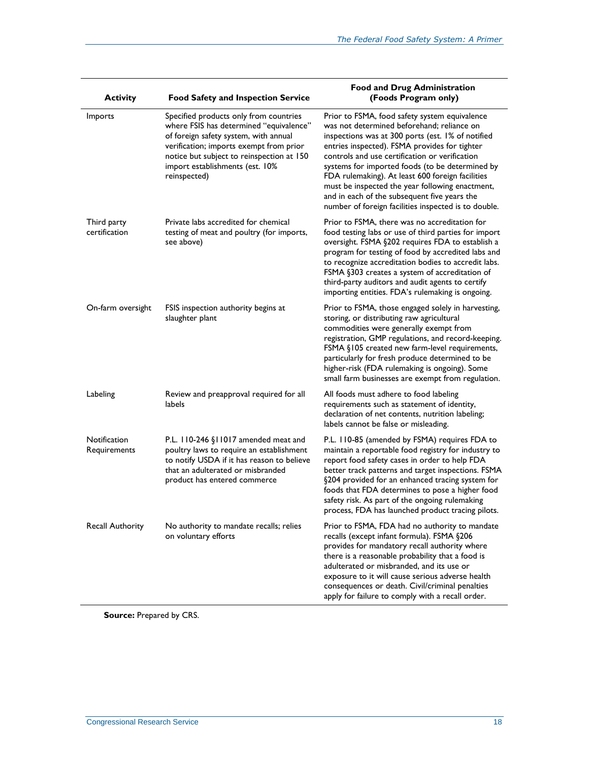| <b>Activity</b>              | <b>Food Safety and Inspection Service</b>                                                                                                                                                                                                                             | <b>Food and Drug Administration</b><br>(Foods Program only)                                                                                                                                                                                                                                                                                                                                                                                                                                                           |
|------------------------------|-----------------------------------------------------------------------------------------------------------------------------------------------------------------------------------------------------------------------------------------------------------------------|-----------------------------------------------------------------------------------------------------------------------------------------------------------------------------------------------------------------------------------------------------------------------------------------------------------------------------------------------------------------------------------------------------------------------------------------------------------------------------------------------------------------------|
| Imports                      | Specified products only from countries<br>where FSIS has determined "equivalence"<br>of foreign safety system, with annual<br>verification; imports exempt from prior<br>notice but subject to reinspection at 150<br>import establishments (est. 10%<br>reinspected) | Prior to FSMA, food safety system equivalence<br>was not determined beforehand; reliance on<br>inspections was at 300 ports (est. 1% of notified<br>entries inspected). FSMA provides for tighter<br>controls and use certification or verification<br>systems for imported foods (to be determined by<br>FDA rulemaking). At least 600 foreign facilities<br>must be inspected the year following enactment,<br>and in each of the subsequent five years the<br>number of foreign facilities inspected is to double. |
| Third party<br>certification | Private labs accredited for chemical<br>testing of meat and poultry (for imports,<br>see above)                                                                                                                                                                       | Prior to FSMA, there was no accreditation for<br>food testing labs or use of third parties for import<br>oversight. FSMA §202 requires FDA to establish a<br>program for testing of food by accredited labs and<br>to recognize accreditation bodies to accredit labs.<br>FSMA §303 creates a system of accreditation of<br>third-party auditors and audit agents to certify<br>importing entities. FDA's rulemaking is ongoing.                                                                                      |
| On-farm oversight            | FSIS inspection authority begins at<br>slaughter plant                                                                                                                                                                                                                | Prior to FSMA, those engaged solely in harvesting,<br>storing, or distributing raw agricultural<br>commodities were generally exempt from<br>registration, GMP regulations, and record-keeping.<br>FSMA §105 created new farm-level requirements,<br>particularly for fresh produce determined to be<br>higher-risk (FDA rulemaking is ongoing). Some<br>small farm businesses are exempt from regulation.                                                                                                            |
| Labeling                     | Review and preapproval required for all<br>labels                                                                                                                                                                                                                     | All foods must adhere to food labeling<br>requirements such as statement of identity,<br>declaration of net contents, nutrition labeling;<br>labels cannot be false or misleading.                                                                                                                                                                                                                                                                                                                                    |
| Notification<br>Requirements | P.L. 110-246 §11017 amended meat and<br>poultry laws to require an establishment<br>to notify USDA if it has reason to believe<br>that an adulterated or misbranded<br>product has entered commerce                                                                   | P.L. 110-85 (amended by FSMA) requires FDA to<br>maintain a reportable food registry for industry to<br>report food safety cases in order to help FDA<br>better track patterns and target inspections. FSMA<br>§204 provided for an enhanced tracing system for<br>foods that FDA determines to pose a higher food<br>safety risk. As part of the ongoing rulemaking<br>process, FDA has launched product tracing pilots.                                                                                             |
| Recall Authority             | No authority to mandate recalls; relies<br>on voluntary efforts                                                                                                                                                                                                       | Prior to FSMA, FDA had no authority to mandate<br>recalls (except infant formula). FSMA §206<br>provides for mandatory recall authority where<br>there is a reasonable probability that a food is<br>adulterated or misbranded, and its use or<br>exposure to it will cause serious adverse health<br>consequences or death. Civil/criminal penalties<br>apply for failure to comply with a recall order.                                                                                                             |

Source: Prepared by CRS.